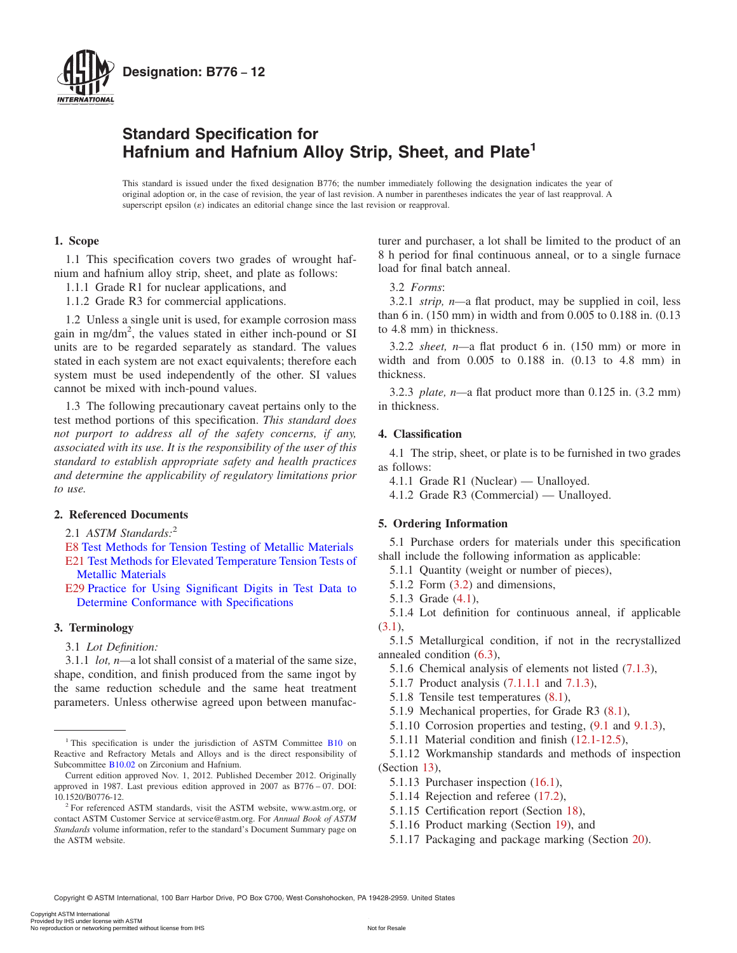<span id="page-0-0"></span>

# **Standard Specification for Hafnium and Hafnium Alloy Strip, Sheet, and Plate1**

This standard is issued under the fixed designation B776; the number immediately following the designation indicates the year of original adoption or, in the case of revision, the year of last revision. A number in parentheses indicates the year of last reapproval. A superscript epsilon  $(\varepsilon)$  indicates an editorial change since the last revision or reapproval.

# **1. Scope**

1.1 This specification covers two grades of wrought hafnium and hafnium alloy strip, sheet, and plate as follows:

- 1.1.1 Grade R1 for nuclear applications, and
- 1.1.2 Grade R3 for commercial applications.

1.2 Unless a single unit is used, for example corrosion mass gain in mg/dm<sup>2</sup>, the values stated in either inch-pound or SI units are to be regarded separately as standard. The values stated in each system are not exact equivalents; therefore each system must be used independently of the other. SI values cannot be mixed with inch-pound values.

1.3 The following precautionary caveat pertains only to the test method portions of this specification. *This standard does not purport to address all of the safety concerns, if any, associated with its use. It is the responsibility of the user of this standard to establish appropriate safety and health practices and determine the applicability of regulatory limitations prior to use.*

# **2. Referenced Documents**

2.1 *ASTM Standards:*<sup>2</sup>

[E8](#page-4-0) Test Methods for Tension Testing of Metallic Materials

[E21](#page-4-0) Test Methods for Elevated Temperature Tension Tests of Metallic Materials

[E29](#page-2-0) Practice for Using Significant Digits in Test Data to Determine Conformance with Specifications

# **3. Terminology**

3.1 *Lot Definition:*

3.1.1 *lot, n—*a lot shall consist of a material of the same size, shape, condition, and finish produced from the same ingot by the same reduction schedule and the same heat treatment parameters. Unless otherwise agreed upon between manufacturer and purchaser, a lot shall be limited to the product of an 8 h period for final continuous anneal, or to a single furnace load for final batch anneal.

## 3.2 *Forms*:

3.2.1 *strip, n—*a flat product, may be supplied in coil, less than 6 in. (150 mm) in width and from 0.005 to 0.188 in. (0.13 to 4.8 mm) in thickness.

3.2.2 *sheet, n—*a flat product 6 in. (150 mm) or more in width and from 0.005 to 0.188 in. (0.13 to 4.8 mm) in thickness.

3.2.3 *plate, n—*a flat product more than 0.125 in. (3.2 mm) in thickness.

## **4. Classification**

4.1 The strip, sheet, or plate is to be furnished in two grades as follows:

4.1.1 Grade R1 (Nuclear) — Unalloyed.

4.1.2 Grade R3 (Commercial) — Unalloyed.

#### **5. Ordering Information**

5.1 Purchase orders for materials under this specification shall include the following information as applicable:

5.1.1 Quantity (weight or number of pieces),

5.1.2 Form (3.2) and dimensions,

5.1.3 Grade (4.1),

5.1.4 Lot definition for continuous anneal, if applicable (3.1),

5.1.5 Metallurgical condition, if not in the recrystallized annealed condition [\(6.3\)](#page-1-0),

- 5.1.6 Chemical analysis of elements not listed [\(7.1.3\)](#page-1-0),
- 5.1.7 Product analysis [\(7.1.1.1](#page-1-0) and [7.1.3\)](#page-1-0),
- 5.1.8 Tensile test temperatures [\(8.1\)](#page-1-0),
- 5.1.9 Mechanical properties, for Grade R3 [\(8.1\)](#page-1-0),
- 5.1.10 Corrosion properties and testing, [\(9.1](#page-2-0) and [9.1.3\)](#page-2-0),
- 5.1.11 Material condition and finish [\(12.1-12.5\)](#page-2-0),

5.1.12 Workmanship standards and methods of inspection (Section [13\)](#page-4-0),

- 5.1.13 Purchaser inspection [\(16.1\)](#page-6-0),
- 5.1.14 Rejection and referee [\(17.2\)](#page-6-0),
- 5.1.15 Certification report (Section [18\)](#page-6-0),
- 5.1.16 Product marking (Section [19\)](#page-6-0), and
- 5.1.17 Packaging and package marking (Section [20\)](#page-6-0).

<sup>&</sup>lt;sup>1</sup> This specification is under the jurisdiction of ASTM Committee B10 on Reactive and Refractory Metals and Alloys and is the direct responsibility of Subcommittee B10.02 on Zirconium and Hafnium.

Current edition approved Nov. 1, 2012. Published December 2012. Originally approved in 1987. Last previous edition approved in 2007 as B776 – 07. DOI: 10.1520/B0776-12.

<sup>&</sup>lt;sup>2</sup> For referenced ASTM standards, visit the ASTM website, www.astm.org, or contact ASTM Customer Service at service@astm.org. For *Annual Book of ASTM Standards* volume information, refer to the standard's Document Summary page on the ASTM website.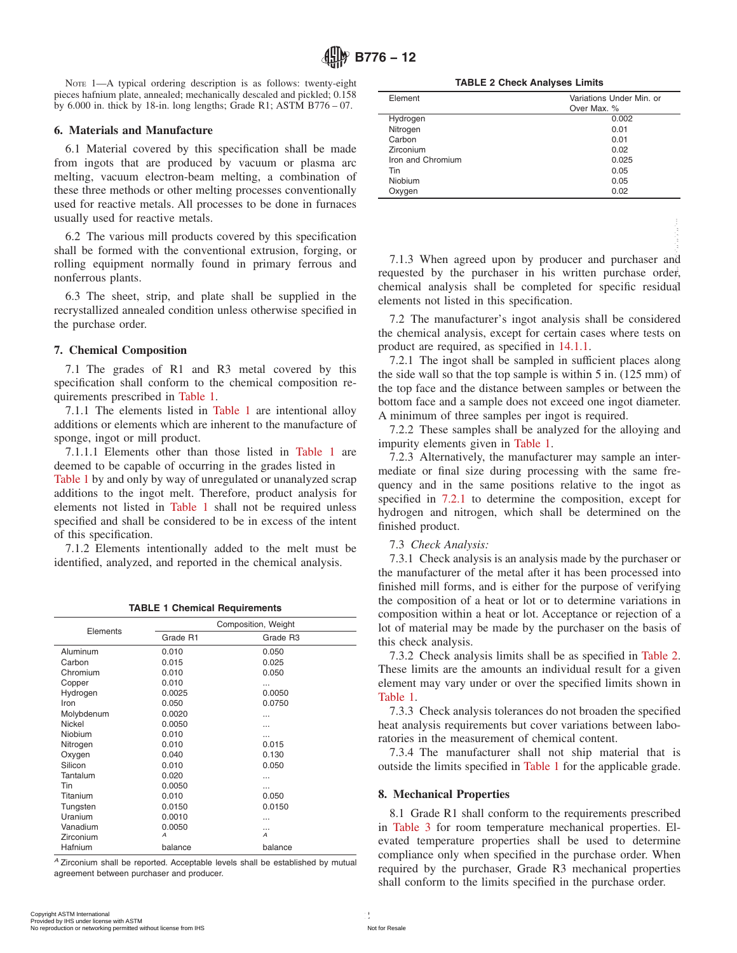<span id="page-1-0"></span>NOTE 1—A typical ordering description is as follows: twenty-eight pieces hafnium plate, annealed; mechanically descaled and pickled; 0.158 by 6.000 in. thick by 18-in. long lengths; Grade R1; ASTM B776 – 07.

### **6. Materials and Manufacture**

6.1 Material covered by this specification shall be made from ingots that are produced by vacuum or plasma arc melting, vacuum electron-beam melting, a combination of these three methods or other melting processes conventionally used for reactive metals. All processes to be done in furnaces usually used for reactive metals.

#### **7. Chemical Composition**

**TABLE 1 Chemical Requirements**

|                                                                                                           |                                      | 6.2 The various mill products covered by this specification                                                                                                                                                                                                                                                                                                                                                                                                                                                |                                                                                                                                                                                                                                                                                                                                                                                                                                                                                                                                                                                                                                                                                                                                                                                                             |
|-----------------------------------------------------------------------------------------------------------|--------------------------------------|------------------------------------------------------------------------------------------------------------------------------------------------------------------------------------------------------------------------------------------------------------------------------------------------------------------------------------------------------------------------------------------------------------------------------------------------------------------------------------------------------------|-------------------------------------------------------------------------------------------------------------------------------------------------------------------------------------------------------------------------------------------------------------------------------------------------------------------------------------------------------------------------------------------------------------------------------------------------------------------------------------------------------------------------------------------------------------------------------------------------------------------------------------------------------------------------------------------------------------------------------------------------------------------------------------------------------------|
| nonferrous plants.<br>the purchase order.<br>7. Chemical Composition<br>quirements prescribed in Table 1. |                                      | shall be formed with the conventional extrusion, forging, or<br>rolling equipment normally found in primary ferrous and<br>6.3 The sheet, strip, and plate shall be supplied in the<br>recrystallized annealed condition unless otherwise specified in<br>7.1 The grades of R1 and R3 metal covered by this<br>specification shall conform to the chemical composition re-<br>7.1.1 The elements listed in Table 1 are intentional alloy<br>additions or elements which are inherent to the manufacture of | 7.1.3 When agreed upon by producer and purchaser and<br>requested by the purchaser in his written purchase order<br>chemical analysis shall be completed for specific residua<br>elements not listed in this specification.<br>7.2 The manufacturer's ingot analysis shall be considered<br>the chemical analysis, except for certain cases where tests or<br>product are required, as specified in 14.1.1.<br>7.2.1 The ingot shall be sampled in sufficient places along<br>the side wall so that the top sample is within $5$ in. $(125 \text{ mm})$ o<br>the top face and the distance between samples or between the<br>bottom face and a sample does not exceed one ingot diameter<br>A minimum of three samples per ingot is required.<br>7.2.2 These samples shall be analyzed for the alloying and |
| sponge, ingot or mill product.                                                                            |                                      |                                                                                                                                                                                                                                                                                                                                                                                                                                                                                                            | impurity elements given in Table 1.                                                                                                                                                                                                                                                                                                                                                                                                                                                                                                                                                                                                                                                                                                                                                                         |
|                                                                                                           |                                      | 7.1.1.1 Elements other than those listed in Table 1 are                                                                                                                                                                                                                                                                                                                                                                                                                                                    | 7.2.3 Alternatively, the manufacturer may sample an inter                                                                                                                                                                                                                                                                                                                                                                                                                                                                                                                                                                                                                                                                                                                                                   |
|                                                                                                           |                                      | deemed to be capable of occurring in the grades listed in                                                                                                                                                                                                                                                                                                                                                                                                                                                  | mediate or final size during processing with the same fre                                                                                                                                                                                                                                                                                                                                                                                                                                                                                                                                                                                                                                                                                                                                                   |
|                                                                                                           |                                      | Table 1 by and only by way of unregulated or unanalyzed scrap                                                                                                                                                                                                                                                                                                                                                                                                                                              | quency and in the same positions relative to the ingot a                                                                                                                                                                                                                                                                                                                                                                                                                                                                                                                                                                                                                                                                                                                                                    |
|                                                                                                           |                                      | additions to the ingot melt. Therefore, product analysis for                                                                                                                                                                                                                                                                                                                                                                                                                                               | specified in 7.2.1 to determine the composition, except fo                                                                                                                                                                                                                                                                                                                                                                                                                                                                                                                                                                                                                                                                                                                                                  |
|                                                                                                           |                                      | elements not listed in Table 1 shall not be required unless                                                                                                                                                                                                                                                                                                                                                                                                                                                | hydrogen and nitrogen, which shall be determined on the                                                                                                                                                                                                                                                                                                                                                                                                                                                                                                                                                                                                                                                                                                                                                     |
|                                                                                                           |                                      | specified and shall be considered to be in excess of the intent                                                                                                                                                                                                                                                                                                                                                                                                                                            | finished product.                                                                                                                                                                                                                                                                                                                                                                                                                                                                                                                                                                                                                                                                                                                                                                                           |
| of this specification.                                                                                    |                                      | 7.1.2 Elements intentionally added to the melt must be<br>identified, analyzed, and reported in the chemical analysis.                                                                                                                                                                                                                                                                                                                                                                                     | 7.3 Check Analysis:<br>7.3.1 Check analysis is an analysis made by the purchaser of<br>the manufacturer of the metal after it has been processed into                                                                                                                                                                                                                                                                                                                                                                                                                                                                                                                                                                                                                                                       |
|                                                                                                           | <b>TABLE 1 Chemical Requirements</b> |                                                                                                                                                                                                                                                                                                                                                                                                                                                                                                            | finished mill forms, and is either for the purpose of verifying<br>the composition of a heat or lot or to determine variations in<br>composition within a heat or lot. Acceptance or rejection of a                                                                                                                                                                                                                                                                                                                                                                                                                                                                                                                                                                                                         |
| Elements                                                                                                  |                                      | Composition, Weight                                                                                                                                                                                                                                                                                                                                                                                                                                                                                        | lot of material may be made by the purchaser on the basis o                                                                                                                                                                                                                                                                                                                                                                                                                                                                                                                                                                                                                                                                                                                                                 |
|                                                                                                           | Grade R1                             | Grade R3                                                                                                                                                                                                                                                                                                                                                                                                                                                                                                   | this check analysis.                                                                                                                                                                                                                                                                                                                                                                                                                                                                                                                                                                                                                                                                                                                                                                                        |
| Aluminum                                                                                                  | 0.010                                | 0.050                                                                                                                                                                                                                                                                                                                                                                                                                                                                                                      | 7.3.2 Check analysis limits shall be as specified in Table 2                                                                                                                                                                                                                                                                                                                                                                                                                                                                                                                                                                                                                                                                                                                                                |
| Carbon<br>Chromium                                                                                        | 0.015<br>0.010                       | 0.025<br>0.050                                                                                                                                                                                                                                                                                                                                                                                                                                                                                             | These limits are the amounts an individual result for a given                                                                                                                                                                                                                                                                                                                                                                                                                                                                                                                                                                                                                                                                                                                                               |
|                                                                                                           | 0.010                                | $\cdots$                                                                                                                                                                                                                                                                                                                                                                                                                                                                                                   |                                                                                                                                                                                                                                                                                                                                                                                                                                                                                                                                                                                                                                                                                                                                                                                                             |
|                                                                                                           | 0.0025                               | 0.0050                                                                                                                                                                                                                                                                                                                                                                                                                                                                                                     |                                                                                                                                                                                                                                                                                                                                                                                                                                                                                                                                                                                                                                                                                                                                                                                                             |
|                                                                                                           | 0.050                                | 0.0750                                                                                                                                                                                                                                                                                                                                                                                                                                                                                                     | Table 1.                                                                                                                                                                                                                                                                                                                                                                                                                                                                                                                                                                                                                                                                                                                                                                                                    |
|                                                                                                           | 0.0020                               |                                                                                                                                                                                                                                                                                                                                                                                                                                                                                                            |                                                                                                                                                                                                                                                                                                                                                                                                                                                                                                                                                                                                                                                                                                                                                                                                             |
|                                                                                                           | 0.0050                               | $\cdots$                                                                                                                                                                                                                                                                                                                                                                                                                                                                                                   |                                                                                                                                                                                                                                                                                                                                                                                                                                                                                                                                                                                                                                                                                                                                                                                                             |
| Copper<br>Hydrogen<br>Iron<br>Molybdenum<br>Nickel<br>Niobium                                             | 0.010                                | $\cdots$                                                                                                                                                                                                                                                                                                                                                                                                                                                                                                   | element may vary under or over the specified limits shown in<br>7.3.3 Check analysis tolerances do not broaden the specified<br>heat analysis requirements but cover variations between labo<br>ratories in the measurement of chemical content.                                                                                                                                                                                                                                                                                                                                                                                                                                                                                                                                                            |
|                                                                                                           | 0.010                                | 0.015                                                                                                                                                                                                                                                                                                                                                                                                                                                                                                      |                                                                                                                                                                                                                                                                                                                                                                                                                                                                                                                                                                                                                                                                                                                                                                                                             |
| Nitrogen<br>Oxygen<br>Silicon                                                                             | 0.040<br>0.010                       | 0.130<br>0.050                                                                                                                                                                                                                                                                                                                                                                                                                                                                                             |                                                                                                                                                                                                                                                                                                                                                                                                                                                                                                                                                                                                                                                                                                                                                                                                             |
| Tantalum                                                                                                  | 0.020                                |                                                                                                                                                                                                                                                                                                                                                                                                                                                                                                            |                                                                                                                                                                                                                                                                                                                                                                                                                                                                                                                                                                                                                                                                                                                                                                                                             |
| Tin                                                                                                       | 0.0050                               |                                                                                                                                                                                                                                                                                                                                                                                                                                                                                                            |                                                                                                                                                                                                                                                                                                                                                                                                                                                                                                                                                                                                                                                                                                                                                                                                             |
| Titanium                                                                                                  | 0.010                                | 0.050                                                                                                                                                                                                                                                                                                                                                                                                                                                                                                      | 8. Mechanical Properties                                                                                                                                                                                                                                                                                                                                                                                                                                                                                                                                                                                                                                                                                                                                                                                    |
| Tungsten                                                                                                  | 0.0150                               | 0.0150                                                                                                                                                                                                                                                                                                                                                                                                                                                                                                     | 7.3.4 The manufacturer shall not ship material that i<br>outside the limits specified in Table 1 for the applicable grade                                                                                                                                                                                                                                                                                                                                                                                                                                                                                                                                                                                                                                                                                   |
| Uranium                                                                                                   | 0.0010                               | $\cdots$                                                                                                                                                                                                                                                                                                                                                                                                                                                                                                   |                                                                                                                                                                                                                                                                                                                                                                                                                                                                                                                                                                                                                                                                                                                                                                                                             |
| Vanadium                                                                                                  | 0.0050                               | $\cdots$<br>А                                                                                                                                                                                                                                                                                                                                                                                                                                                                                              |                                                                                                                                                                                                                                                                                                                                                                                                                                                                                                                                                                                                                                                                                                                                                                                                             |
| Zirconium<br>Hafnium                                                                                      | Α<br>balance                         | balance                                                                                                                                                                                                                                                                                                                                                                                                                                                                                                    | 8.1 Grade R1 shall conform to the requirements prescribed<br>in Table 3 for room temperature mechanical properties. El<br>evated temperature properties shall be used to determine<br>compliance only when specified in the purchase order. When                                                                                                                                                                                                                                                                                                                                                                                                                                                                                                                                                            |

**TABLE 2 Check Analyses Limits**

| Element           | Variations Under Min. or |
|-------------------|--------------------------|
|                   | Over Max. %              |
| Hydrogen          | 0.002                    |
| Nitrogen          | 0.01                     |
| Carbon            | 0.01                     |
| Zirconium         | 0.02                     |
| Iron and Chromium | 0.025                    |
| Tin               | 0.05                     |
| Niobium           | 0.05                     |
| Oxygen            | 0.02                     |

#### 7.3 *Check Analysis:*

## **8. Mechanical Properties**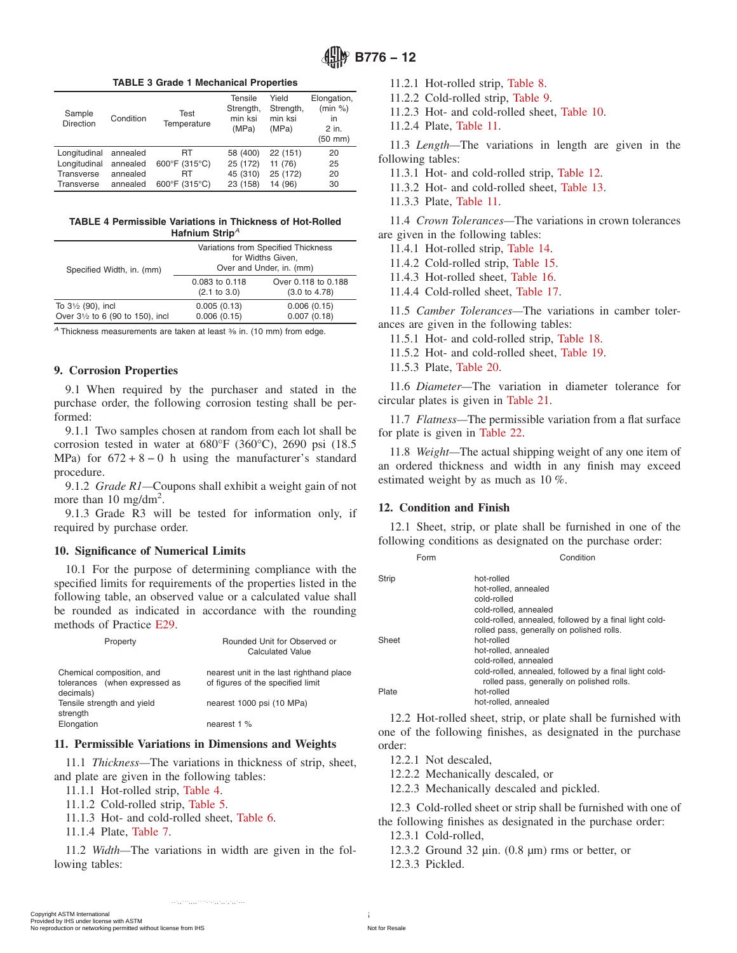**TABLE 3 Grade 1 Mechanical Properties**

<span id="page-2-0"></span>

| Sample<br>Direction | Condition | Test<br>Temperature | Tensile<br>Strength,<br>min ksi<br>(MPa) | Yield<br>Strength,<br>min ksi<br>(MPa) | Elongation,<br>(min %)<br>in<br>2 in.<br>$(50$ mm $)$ |
|---------------------|-----------|---------------------|------------------------------------------|----------------------------------------|-------------------------------------------------------|
| Longitudinal        | annealed  | RT                  | 58 (400)                                 | 22 (151)                               | 20                                                    |
| Longitudinal        | annealed  | 600°F (315°C)       | 25 (172)                                 | 11 (76)                                | 25                                                    |
| Transverse          | annealed  | RT                  | 45 (310)                                 | 25 (172)                               | 20                                                    |
| Transverse          | annealed  | 600°F (315°C)       | 23 (158)                                 | 14 (96)                                | 30                                                    |

**TABLE 4 Permissible Variations in Thickness of Hot-Rolled Hafnium Strip***<sup>A</sup>*

| Variations from Specified Thickness<br>for Widths Given,<br>Over and Under, in. (mm) |                                                 |  |  |
|--------------------------------------------------------------------------------------|-------------------------------------------------|--|--|
| 0.083 to 0.118<br>$(2.1 \text{ to } 3.0)$                                            | Over 0.118 to 0.188<br>$(3.0 \text{ to } 4.78)$ |  |  |
| 0.005(0.13)<br>0.006(0.15)                                                           | 0.006(0.15)<br>0.007(0.18)                      |  |  |
|                                                                                      |                                                 |  |  |

A Thickness measurements are taken at least <sup>3</sup>/<sub>8</sub> in. (10 mm) from edge.

## **9. Corrosion Properties**

9.1 When required by the purchaser and stated in the purchase order, the following corrosion testing shall be performed:

9.1.1 Two samples chosen at random from each lot shall be corrosion tested in water at 680°F (360°C), 2690 psi (18.5 MPa) for  $672 + 8 - 0$  h using the manufacturer's standard procedure.

9.1.2 *Grade R1—*Coupons shall exhibit a weight gain of not more than 10 mg/dm<sup>2</sup>.

9.1.3 Grade R3 will be tested for information only, if required by purchase order.

#### **10. Significance of Numerical Limits**

10.1 For the purpose of determining compliance with the specified limits for requirements of the properties listed in the following table, an observed value or a calculated value shall be rounded as indicated in accordance with the rounding methods of Practice [E29.](#page-0-0)

| Property                                                                | Rounded Unit for Observed or<br><b>Calculated Value</b>                       |
|-------------------------------------------------------------------------|-------------------------------------------------------------------------------|
| Chemical composition, and<br>tolerances (when expressed as<br>decimals) | nearest unit in the last righthand place<br>of figures of the specified limit |
| Tensile strength and vield<br>strength                                  | nearest 1000 psi (10 MPa)                                                     |
| Elongation                                                              | nearest $1\%$                                                                 |

## **11. Permissible Variations in Dimensions and Weights**

11.1 *Thickness—*The variations in thickness of strip, sheet, and plate are given in the following tables:

- 11.1.1 Hot-rolled strip, Table 4.
- 11.1.2 Cold-rolled strip, [Table 5.](#page-3-0)
- 11.1.3 Hot- and cold-rolled sheet, [Table 6.](#page-3-0)
- 11.1.4 Plate, [Table 7.](#page-3-0)

11.2 *Width—*The variations in width are given in the following tables:

11.2.1 Hot-rolled strip, [Table 8.](#page-3-0)

- 11.2.2 Cold-rolled strip, [Table 9.](#page-4-0)
- 11.2.3 Hot- and cold-rolled sheet, [Table 10.](#page-4-0)
- 11.2.4 Plate, [Table 11.](#page-5-0)

11.3 *Length—*The variations in length are given in the following tables:

- 11.3.1 Hot- and cold-rolled strip, [Table 12.](#page-5-0)
- 11.3.2 Hot- and cold-rolled sheet, [Table 13.](#page-5-0)
- 11.3.3 Plate, [Table 11.](#page-5-0)

11.4 *Crown Tolerances—*The variations in crown tolerances are given in the following tables:

11.4.1 Hot-rolled strip, [Table 14.](#page-6-0)

11.4.2 Cold-rolled strip, [Table 15.](#page-6-0)

11.4.3 Hot-rolled sheet, [Table 16.](#page-6-0)

11.4.4 Cold-rolled sheet, [Table 17.](#page-7-0)

11.5 *Camber Tolerances—*The variations in camber tolerances are given in the following tables:

- 11.5.1 Hot- and cold-rolled strip, [Table 18.](#page-7-0)
- 11.5.2 Hot- and cold-rolled sheet, [Table 19.](#page-7-0)
- 11.5.3 Plate, [Table 20.](#page-7-0)

11.6 *Diameter—*The variation in diameter tolerance for circular plates is given in [Table 21.](#page-7-0)

11.7 *Flatness—*The permissible variation from a flat surface for plate is given in [Table 22.](#page-8-0)

11.8 *Weight—*The actual shipping weight of any one item of an ordered thickness and width in any finish may exceed estimated weight by as much as 10 %.

## **12. Condition and Finish**

12.1 Sheet, strip, or plate shall be furnished in one of the following conditions as designated on the purchase order:

| Form  | Condition                                                                                                                                                          |
|-------|--------------------------------------------------------------------------------------------------------------------------------------------------------------------|
| Strip | hot-rolled<br>hot-rolled, annealed<br>cold-rolled<br>cold-rolled, annealed                                                                                         |
| Sheet | cold-rolled, annealed, followed by a final light cold-<br>rolled pass, generally on polished rolls.<br>hot-rolled<br>hot-rolled, annealed<br>cold-rolled, annealed |
| Plate | cold-rolled, annealed, followed by a final light cold-<br>rolled pass, generally on polished rolls.<br>hot-rolled<br>hot-rolled, annealed                          |

12.2 Hot-rolled sheet, strip, or plate shall be furnished with one of the following finishes, as designated in the purchase order:

12.2.1 Not descaled,

12.2.2 Mechanically descaled, or

12.2.3 Mechanically descaled and pickled.

12.3 Cold-rolled sheet or strip shall be furnished with one of the following finishes as designated in the purchase order:

12.3.1 Cold-rolled,

12.3.2 Ground 32  $\mu$ in. (0.8  $\mu$ m) rms or better, or 12.3.3 Pickled.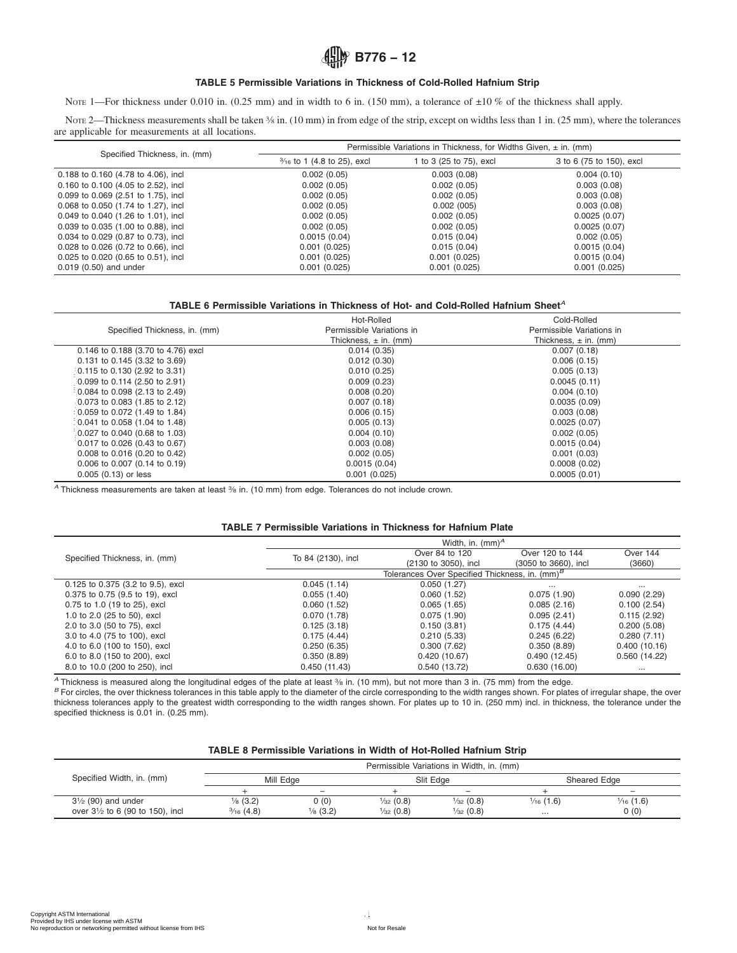# **<u></u><u></u><sup>***B***</sup> B776 – 12**

## **TABLE 5 Permissible Variations in Thickness of Cold-Rolled Hafnium Strip**

<span id="page-3-0"></span>NOTE 1—For thickness under 0.010 in. (0.25 mm) and in width to 6 in. (150 mm), a tolerance of  $\pm 10\%$  of the thickness shall apply.

NOTE 2—Thickness measurements shall be taken  $\frac{3}{8}$  in. (10 mm) in from edge of the strip, except on widths less than 1 in. (25 mm), where the tolerances are applicable for measurements at all locations.

| Specified Thickness, in. (mm)       | Permissible Variations in Thickness, for Widths Given, $\pm$ in. (mm) |                         |                          |  |  |
|-------------------------------------|-----------------------------------------------------------------------|-------------------------|--------------------------|--|--|
|                                     | $\frac{3}{16}$ to 1 (4.8 to 25), excl                                 | 1 to 3 (25 to 75), excl | 3 to 6 (75 to 150), excl |  |  |
| 0.188 to 0.160 (4.78 to 4.06), incl | 0.002(0.05)                                                           | 0.003(0.08)             | 0.004(0.10)              |  |  |
| 0.160 to 0.100 (4.05 to 2.52), incl | 0.002(0.05)                                                           | 0.002(0.05)             | 0.003(0.08)              |  |  |
| 0.099 to 0.069 (2.51 to 1.75), incl | 0.002(0.05)                                                           | 0.002(0.05)             | 0.003(0.08)              |  |  |
| 0.068 to 0.050 (1.74 to 1.27), incl | 0.002(0.05)                                                           | 0.002(005)              | 0.003(0.08)              |  |  |
| 0.049 to 0.040 (1.26 to 1.01), incl | 0.002(0.05)                                                           | 0.002(0.05)             | 0.0025(0.07)             |  |  |
| 0.039 to 0.035 (1.00 to 0.88), incl | 0.002(0.05)                                                           | 0.002(0.05)             | 0.0025(0.07)             |  |  |
| 0.034 to 0.029 (0.87 to 0.73), incl | 0.0015(0.04)                                                          | 0.015(0.04)             | 0.002(0.05)              |  |  |
| 0.028 to 0.026 (0.72 to 0.66), incl | 0.001(0.025)                                                          | 0.015(0.04)             | 0.0015(0.04)             |  |  |
| 0.025 to 0.020 (0.65 to 0.51), incl | 0.001(0.025)                                                          | 0.001(0.025)            | 0.0015(0.04)             |  |  |
| 0.019 (0.50) and under              | 0.001(0.025)                                                          | 0.001(0.025)            | 0.001(0.025)             |  |  |

#### **TABLE 6 Permissible Variations in Thickness of Hot- and Cold-Rolled Hafnium Sheet***<sup>A</sup>*

|                                                     | Hot-Rolled                | Cold-Rolled               |
|-----------------------------------------------------|---------------------------|---------------------------|
| Specified Thickness, in. (mm)                       | Permissible Variations in | Permissible Variations in |
|                                                     | Thickness, $\pm$ in. (mm) | Thickness, $\pm$ in. (mm) |
| 0.146 to 0.188 (3.70 to 4.76) excl                  | 0.014(0.35)               | 0.007(0.18)               |
| 0.131 to 0.145 (3.32 to 3.69)                       | 0.012(0.30)               | 0.006(0.15)               |
| 0.115 to 0.130 (2.92 to 3.31)                       | 0.010(0.25)               | 0.005(0.13)               |
| 0.099 to 0.114 (2.50 to 2.91)                       | 0.009(0.23)               | 0.0045(0.11)              |
| 0.084 to 0.098 (2.13 to 2.49)                       | 0.008(0.20)               | 0.004(0.10)               |
| 0.073 to 0.083 (1.85 to 2.12)                       | 0.007(0.18)               | 0.0035(0.09)              |
| $(0.059 \text{ to } 0.072 \text{ (1.49 to } 1.84))$ | 0.006(0.15)               | 0.003(0.08)               |
| 0.041 to 0.058 (1.04 to 1.48)                       | 0.005(0.13)               | 0.0025(0.07)              |
| $0.027$ to 0.040 (0.68 to 1.03)                     | 0.004(0.10)               | 0.002(0.05)               |
| 0.017 to 0.026 (0.43 to 0.67)                       | 0.003(0.08)               | 0.0015(0.04)              |
| 0.008 to 0.016 (0.20 to 0.42)                       | 0.002(0.05)               | 0.001(0.03)               |
| $0.006$ to $0.007$ (0.14 to 0.19)                   | 0.0015(0.04)              | 0.0008(0.02)              |
| $0.005(0.13)$ or less                               | 0.001(0.025)              | 0.0005(0.01)              |

### **TABLE 7 Permissible Variations in Thickness for Hafnium Plate**

| specified thickness is 0.01 in. (0.25 mm).<br>Specified Width, in. (mm)<br>$3\frac{1}{2}$ (90) and under<br>over 31/2 to 6 (90 to 150), incl                                                                                                                                                                                                                         | Mill Edge<br>$\, +$<br>$\frac{1}{8}$ (3.2)<br>$\frac{3}{16}$ (4.8) | <b>TABLE 8 Permissible Variations in Width of Hot-Rolled Hafnium Strip</b><br>$\overline{\phantom{0}}$<br>0(0) | Slit Edge<br>$+$<br>$\frac{1}{32}$ (0.8) | Permissible Variations in Width, in. (mm)<br>$\overline{\phantom{a}}$<br>$\frac{1}{32}$ (0.8) | Sheared Edge<br>$+$<br>$\frac{1}{16}$ (1.6) | $\overline{\phantom{0}}$<br>$\frac{1}{16}$ (1.6) |
|----------------------------------------------------------------------------------------------------------------------------------------------------------------------------------------------------------------------------------------------------------------------------------------------------------------------------------------------------------------------|--------------------------------------------------------------------|----------------------------------------------------------------------------------------------------------------|------------------------------------------|-----------------------------------------------------------------------------------------------|---------------------------------------------|--------------------------------------------------|
|                                                                                                                                                                                                                                                                                                                                                                      |                                                                    |                                                                                                                |                                          |                                                                                               |                                             |                                                  |
|                                                                                                                                                                                                                                                                                                                                                                      |                                                                    |                                                                                                                |                                          |                                                                                               |                                             |                                                  |
|                                                                                                                                                                                                                                                                                                                                                                      |                                                                    |                                                                                                                |                                          |                                                                                               |                                             |                                                  |
| <sup>B</sup> For circles, the over thickness tolerances in this table apply to the diameter of the circle corresponding to the width ranges shown. For plates of irregular shape, the over<br>thickness tolerances apply to the greatest width corresponding to the width ranges shown. For plates up to 10 in. (250 mm) incl. in thickness, the tolerance under the |                                                                    |                                                                                                                |                                          |                                                                                               |                                             |                                                  |
| 8.0 to 10.0 (200 to 250), incl<br>A Thickness is measured along the longitudinal edges of the plate at least % in. (10 mm), but not more than 3 in. (75 mm) from the edge.                                                                                                                                                                                           |                                                                    | 0.450(11.43)                                                                                                   |                                          | 0.540 (13.72)                                                                                 | 0.630(16.00)                                | $\cdots$                                         |
| 6.0 to 8.0 (150 to 200), excl                                                                                                                                                                                                                                                                                                                                        |                                                                    | 0.350(8.89)                                                                                                    |                                          | 0.420(10.67)                                                                                  | 0.490(12.45)                                | 0.560 (14.22)                                    |
| 3.0 to 4.0 (75 to 100), excl<br>4.0 to 6.0 (100 to 150), excl                                                                                                                                                                                                                                                                                                        |                                                                    | 0.175(4.44)<br>0.250(6.35)                                                                                     |                                          | 0.210(5.33)<br>0.300(7.62)                                                                    | 0.245(6.22)<br>0.350(8.89)                  | 0.280(7.11)<br>0.400(10.16)                      |
| 2.0 to 3.0 (50 to 75), excl                                                                                                                                                                                                                                                                                                                                          |                                                                    | 0.125(3.18)                                                                                                    |                                          | 0.150(3.81)                                                                                   | 0.175(4.44)                                 | 0.200(5.08)                                      |
| 0.75 to 1.0 (19 to 25), excl<br>1.0 to 2.0 (25 to 50), excl                                                                                                                                                                                                                                                                                                          |                                                                    | 0.060(1.52)<br>0.070(1.78)                                                                                     |                                          | 0.065(1.65)<br>0.075(1.90)                                                                    | 0.085(2.16)<br>0.095(2.41)                  | 0.100(2.54)<br>0.115(2.92)                       |
| 0.375 to 0.75 (9.5 to 19), excl                                                                                                                                                                                                                                                                                                                                      |                                                                    | 0.055(1.40)                                                                                                    |                                          | 0.060(1.52)                                                                                   | 0.075(1.90)                                 | 0.090(2.29)                                      |
| 0.125 to 0.375 (3.2 to 9.5), excl                                                                                                                                                                                                                                                                                                                                    |                                                                    | 0.045(1.14)                                                                                                    |                                          | 0.050(1.27)                                                                                   |                                             | $\cdots$                                         |
|                                                                                                                                                                                                                                                                                                                                                                      |                                                                    |                                                                                                                |                                          | Tolerances Over Specified Thickness, in. (mm) <sup>B</sup>                                    |                                             |                                                  |
| Specified Thickness, in. (mm)                                                                                                                                                                                                                                                                                                                                        |                                                                    | To 84 (2130), incl                                                                                             |                                          | Over 84 to 120<br>(2130 to 3050), incl                                                        | Over 120 to 144<br>(3050 to 3660), incl     | Over 144<br>(3660)                               |
|                                                                                                                                                                                                                                                                                                                                                                      |                                                                    |                                                                                                                |                                          | Width, in. $(mm)^A$                                                                           |                                             |                                                  |
|                                                                                                                                                                                                                                                                                                                                                                      |                                                                    | <b>TABLE 7 Permissible Variations in Thickness for Hafnium Plate</b>                                           |                                          |                                                                                               |                                             |                                                  |
| A Thickness measurements are taken at least % in. (10 mm) from edge. Tolerances do not include crown.                                                                                                                                                                                                                                                                |                                                                    |                                                                                                                |                                          |                                                                                               |                                             |                                                  |
| 0.005 (0.13) or less                                                                                                                                                                                                                                                                                                                                                 |                                                                    |                                                                                                                | 0.001(0.025)                             |                                                                                               | 0.0005(0.01)                                |                                                  |
| 0.006 to 0.007 (0.14 to 0.19)                                                                                                                                                                                                                                                                                                                                        |                                                                    |                                                                                                                | 0.0015(0.04)                             |                                                                                               | 0.0008(0.02)                                |                                                  |
| 0.017 to 0.026 (0.43 to 0.67)<br>0.008 to 0.016 (0.20 to 0.42)                                                                                                                                                                                                                                                                                                       |                                                                    |                                                                                                                | 0.003(0.08)<br>0.002(0.05)               |                                                                                               | 0.002(0.05)<br>0.0015(0.04)<br>0.001(0.03)  |                                                  |
| 0.027 to 0.040 (0.68 to 1.03)                                                                                                                                                                                                                                                                                                                                        |                                                                    |                                                                                                                | 0.004(0.10)                              |                                                                                               |                                             |                                                  |
|                                                                                                                                                                                                                                                                                                                                                                      |                                                                    |                                                                                                                | 0.005(0.13)                              |                                                                                               | 0.0025(0.07)                                |                                                  |
| $0.041$ to 0.058 (1.04 to 1.48)                                                                                                                                                                                                                                                                                                                                      |                                                                    |                                                                                                                | 0.006(0.15)                              |                                                                                               | 0.003(0.08)                                 |                                                  |
| 0.059 to 0.072 (1.49 to 1.84)                                                                                                                                                                                                                                                                                                                                        |                                                                    |                                                                                                                |                                          |                                                                                               | 0.0035(0.09)                                |                                                  |
| 0.073 to 0.083 (1.85 to 2.12)                                                                                                                                                                                                                                                                                                                                        |                                                                    |                                                                                                                | 0.007(0.18)                              |                                                                                               |                                             |                                                  |
| 0.099 to 0.114 (2.50 to 2.91)<br>0.084 to 0.098 (2.13 to 2.49)                                                                                                                                                                                                                                                                                                       |                                                                    |                                                                                                                | 0.009(0.23)<br>0.008(0.20)               |                                                                                               | 0.0045(0.11)<br>0.004(0.10)                 |                                                  |

## **TABLE 8 Permissible Variations in Width of Hot-Rolled Hafnium Strip**

|                                  | Permissible Variations in Width, in. (mm) |                          |                      |                          |                      |                      |
|----------------------------------|-------------------------------------------|--------------------------|----------------------|--------------------------|----------------------|----------------------|
| Specified Width, in. (mm)        | Mill Edge                                 |                          | Slit Edge            |                          | <b>Sheared Edge</b>  |                      |
|                                  |                                           | $\overline{\phantom{0}}$ |                      | $\overline{\phantom{a}}$ |                      |                      |
| $3\frac{1}{2}$ (90) and under    | $\frac{1}{8}$ (3.2)                       | 0(0)                     | $\frac{1}{32}$ (0.8) | $\frac{1}{32}$ (0.8)     | $\frac{1}{16}$ (1.6) | $\frac{1}{16}$ (1.6) |
| over 31/2 to 6 (90 to 150), incl | $\frac{3}{16}$ (4.8)                      | $\frac{1}{8}$ (3.2)      | $\frac{1}{32}$ (0.8) | $\frac{1}{32}$ (0.8)     | $\cdots$             | (0)                  |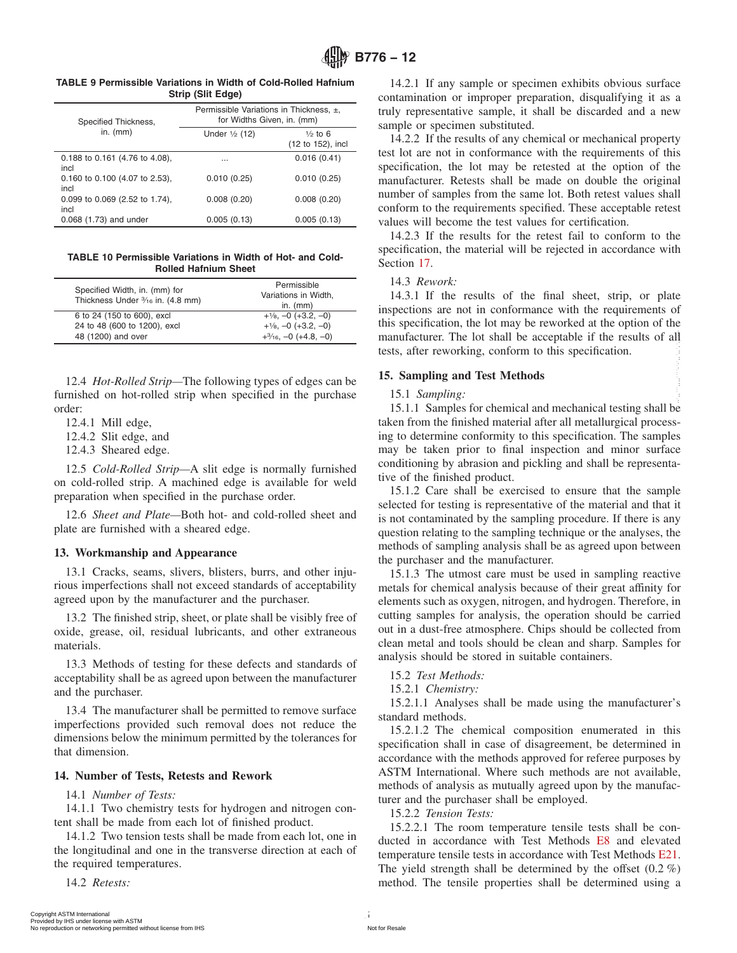<span id="page-4-0"></span>

| <b>TABLE 9 Permissible Variations in Width of Cold-Rolled Hafnium</b> |                   |  |
|-----------------------------------------------------------------------|-------------------|--|
|                                                                       | Strip (Slit Edge) |  |

| Specified Thickness,                       | Permissible Variations in Thickness, ±,<br>for Widths Given, in. (mm) |                                         |  |
|--------------------------------------------|-----------------------------------------------------------------------|-----------------------------------------|--|
| in. $(mm)$                                 | Under $\frac{1}{2}$ (12)                                              | $\frac{1}{2}$ to 6<br>(12 to 152), incl |  |
| 0.188 to 0.161 (4.76 to 4.08),<br>incl     | $\cdots$                                                              | 0.016(0.41)                             |  |
| $0.160$ to $0.100$ (4.07 to 2.53),<br>incl | 0.010(0.25)                                                           | 0.010(0.25)                             |  |
| 0.099 to 0.069 (2.52 to 1.74),<br>incl     | 0.008(0.20)                                                           | 0.008(0.20)                             |  |
| 0.068 (1.73) and under                     | 0.005(0.13)                                                           | 0.005(0.13)                             |  |

**TABLE 10 Permissible Variations in Width of Hot- and Cold-Rolled Hafnium Sheet**

| Specified Width, in. (mm) for<br>Thickness Under 3/16 in. (4.8 mm) | Permissible<br>Variations in Width,<br>in. $(mm)$ |
|--------------------------------------------------------------------|---------------------------------------------------|
| 6 to 24 (150 to 600), excl                                         | $+1/8$ , $-0$ ( $+3.2$ , $-0$ )                   |
| 24 to 48 (600 to 1200), excl                                       | $+1/8$ , $-0$ ( $+3.2$ , $-0$ )                   |
| 48 (1200) and over                                                 | $+3/16, -0$ (+4.8, -0)                            |

12.4 *Hot-Rolled Strip—*The following types of edges can be furnished on hot-rolled strip when specified in the purchase order:

12.4.1 Mill edge,

12.4.2 Slit edge, and

12.4.3 Sheared edge.

12.5 *Cold-Rolled Strip—*A slit edge is normally furnished on cold-rolled strip. A machined edge is available for weld preparation when specified in the purchase order.

12.6 *Sheet and Plate—*Both hot- and cold-rolled sheet and plate are furnished with a sheared edge.

# **13. Workmanship and Appearance**

13.1 Cracks, seams, slivers, blisters, burrs, and other injurious imperfections shall not exceed standards of acceptability agreed upon by the manufacturer and the purchaser.

13.2 The finished strip, sheet, or plate shall be visibly free of oxide, grease, oil, residual lubricants, and other extraneous materials.

13.3 Methods of testing for these defects and standards of acceptability shall be as agreed upon between the manufacturer and the purchaser.

13.4 The manufacturer shall be permitted to remove surface imperfections provided such removal does not reduce the dimensions below the minimum permitted by the tolerances for that dimension.

# **14. Number of Tests, Retests and Rework**

# 14.1 *Number of Tests:*

14.1.1 Two chemistry tests for hydrogen and nitrogen content shall be made from each lot of finished product.

14.1.2 Two tension tests shall be made from each lot, one in the longitudinal and one in the transverse direction at each of the required temperatures.

14.2 *Retests:*

14.2.1 If any sample or specimen exhibits obvious surface contamination or improper preparation, disqualifying it as a truly representative sample, it shall be discarded and a new sample or specimen substituted.

14.2.2 If the results of any chemical or mechanical property test lot are not in conformance with the requirements of this specification, the lot may be retested at the option of the manufacturer. Retests shall be made on double the original number of samples from the same lot. Both retest values shall conform to the requirements specified. These acceptable retest values will become the test values for certification.

14.2.3 If the results for the retest fail to conform to the specification, the material will be rejected in accordance with Section [17.](#page-6-0)

# 14.3 *Rework:*

14.3.1 If the results of the final sheet, strip, or plate inspections are not in conformance with the requirements of this specification, the lot may be reworked at the option of the manufacturer. The lot shall be acceptable if the results of all tests, after reworking, conform to this specification.

# **15. Sampling and Test Methods**

# 15.1 *Sampling:*

15.1.1 Samples for chemical and mechanical testing shall be taken from the finished material after all metallurgical processing to determine conformity to this specification. The samples may be taken prior to final inspection and minor surface conditioning by abrasion and pickling and shall be representative of the finished product.

15.1.2 Care shall be exercised to ensure that the sample selected for testing is representative of the material and that it is not contaminated by the sampling procedure. If there is any question relating to the sampling technique or the analyses, the methods of sampling analysis shall be as agreed upon between the purchaser and the manufacturer.

15.1.3 The utmost care must be used in sampling reactive metals for chemical analysis because of their great affinity for elements such as oxygen, nitrogen, and hydrogen. Therefore, in cutting samples for analysis, the operation should be carried out in a dust-free atmosphere. Chips should be collected from clean metal and tools should be clean and sharp. Samples for analysis should be stored in suitable containers. At  $(250)$  international 5 Provided as the model of a simple permitted by IHS 15 Capple and Text Method and the control or networking permitted with Association or networking to the provide the properties of the model of

15.2 *Test Methods:*

15.2.1 *Chemistry:*

15.2.1.1 Analyses shall be made using the manufacturer's standard methods.

15.2.1.2 The chemical composition enumerated in this specification shall in case of disagreement, be determined in accordance with the methods approved for referee purposes by ASTM International. Where such methods are not available, methods of analysis as mutually agreed upon by the manufacturer and the purchaser shall be employed.

15.2.2 *Tension Tests:*

15.2.2.1 The room temperature tensile tests shall be conducted in accordance with Test Methods [E8](#page-0-0) and elevated temperature tensile tests in accordance with Test Methods [E21.](#page-0-0) The yield strength shall be determined by the offset  $(0.2 \%)$ method. The tensile properties shall be determined using a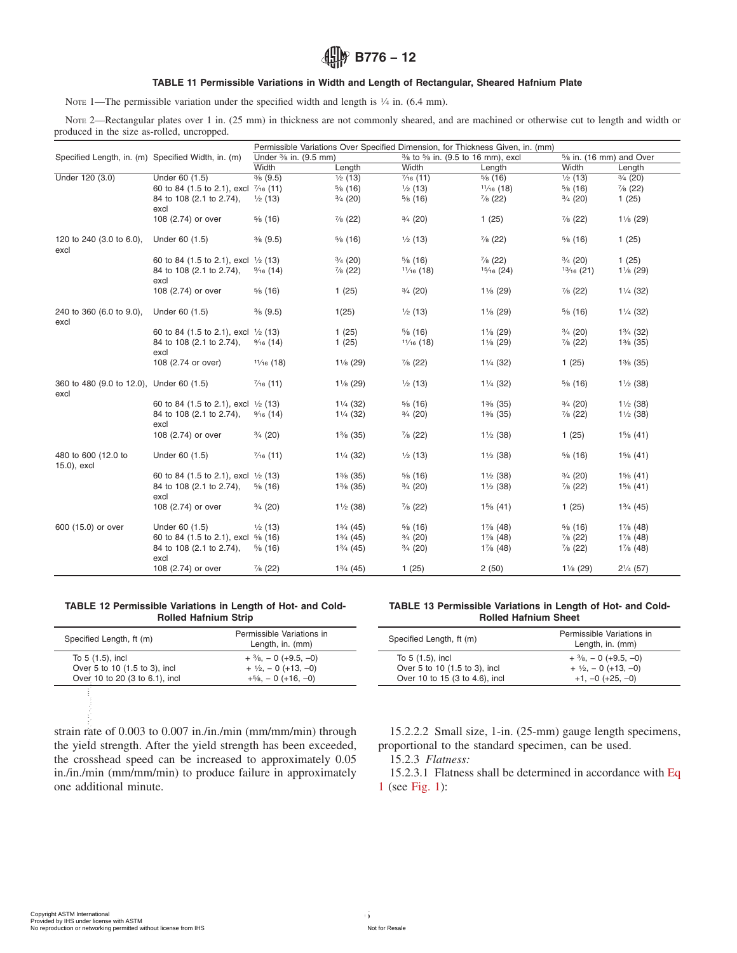# **<u></u><u></u><sup>***B***</sup> B776 – 12**

## **TABLE 11 Permissible Variations in Width and Length of Rectangular, Sheared Hafnium Plate**

<span id="page-5-0"></span>NOTE 1—The permissible variation under the specified width and length is  $\frac{1}{4}$  in. (6.4 mm).

NOTE 2—Rectangular plates over 1 in. (25 mm) in thickness are not commonly sheared, and are machined or otherwise cut to length and width or produced in the size as-rolled, uncropped.

|                                                    |                                                |                      |                     |                                 | Permissible Variations Over Specified Dimension, for Thickness Given, in. (mm) |                          |                     |
|----------------------------------------------------|------------------------------------------------|----------------------|---------------------|---------------------------------|--------------------------------------------------------------------------------|--------------------------|---------------------|
| Specified Length, in. (m) Specified Width, in. (m) |                                                | Under % in. (9.5 mm) |                     | % to % in. (9.5 to 16 mm), excl |                                                                                | 5/8 in. (16 mm) and Over |                     |
|                                                    |                                                | Width                | Length              | Width                           | Length                                                                         | Width                    | Length              |
| Under 120 (3.0)                                    | Under 60 (1.5)                                 | $\frac{3}{8}$ (9.5)  | $\frac{1}{2}$ (13)  | $\frac{7}{16}$ (11)             | $\frac{5}{6}$ (16)                                                             | $\frac{1}{2}$ (13)       | $\frac{3}{4}$ (20)  |
|                                                    | 60 to 84 (1.5 to 2.1), excl 7/16 (11)          |                      | $\frac{5}{8}$ (16)  | $\frac{1}{2}$ (13)              | $1\frac{1}{16}$ (18)                                                           | $\frac{5}{6}$ (16)       | $\frac{7}{8}$ (22)  |
|                                                    | 84 to 108 (2.1 to 2.74),<br>excl               | $\frac{1}{2}$ (13)   | $\frac{3}{4}$ (20)  | $\frac{5}{6}$ (16)              | $\frac{7}{8}$ (22)                                                             | $\frac{3}{4}$ (20)       | 1(25)               |
|                                                    | 108 (2.74) or over                             | $\frac{5}{6}$ (16)   | $\frac{7}{8}$ (22)  | $\frac{3}{4}$ (20)              | 1(25)                                                                          | $\frac{7}{8}$ (22)       | $1\frac{1}{8}$ (29) |
| 120 to 240 (3.0 to 6.0),<br>excl                   | Under 60 (1.5)                                 | $\frac{3}{8}$ (9.5)  | $\frac{5}{8}$ (16)  | $\frac{1}{2}$ (13)              | $\frac{7}{8}$ (22)                                                             | $\frac{5}{8}$ (16)       | 1(25)               |
|                                                    | 60 to 84 (1.5 to 2.1), excl 1/2 (13)           |                      | $\frac{3}{4}$ (20)  | $\frac{5}{6}$ (16)              | $\frac{7}{8}$ (22)                                                             | $\frac{3}{4}$ (20)       | 1(25)               |
|                                                    | 84 to 108 (2.1 to 2.74),<br>excl               | $\frac{9}{16}$ (14)  | $\frac{7}{8}$ (22)  | $1\frac{1}{16}$ (18)            | $15/16$ (24)                                                                   | $13/16$ (21)             | $1\frac{1}{8}$ (29) |
|                                                    | 108 (2.74) or over                             | $\frac{5}{6}$ (16)   | 1(25)               | $\frac{3}{4}$ (20)              | $1\frac{1}{8}$ (29)                                                            | $\frac{7}{8}$ (22)       | $1\frac{1}{4}$ (32) |
| 240 to 360 (6.0 to 9.0),<br>excl                   | Under 60 (1.5)                                 | $\frac{3}{8}$ (9.5)  | 1(25)               | $\frac{1}{2}$ (13)              | $1\frac{1}{8}$ (29)                                                            | $\frac{5}{6}$ (16)       | $1\frac{1}{4}$ (32) |
|                                                    | 60 to 84 (1.5 to 2.1), excl $\frac{1}{2}$ (13) |                      | 1(25)               | $\frac{5}{6}$ (16)              | $1\frac{1}{8}$ (29)                                                            | $\frac{3}{4}$ (20)       | $1\frac{3}{4}$ (32) |
|                                                    | 84 to 108 (2.1 to 2.74).<br>excl               | $\frac{9}{16}$ (14)  | 1(25)               | $1\frac{1}{16}$ (18)            | $1\frac{1}{8}$ (29)                                                            | $\frac{7}{8}$ (22)       | $1\%$ (35)          |
|                                                    | 108 (2.74 or over)                             | $1\frac{1}{16}$ (18) | $1\frac{1}{8}$ (29) | $\frac{7}{8}$ (22)              | $1\frac{1}{4}$ (32)                                                            | 1(25)                    | $1\%$ (35)          |
| 360 to 480 (9.0 to 12.0), Under 60 (1.5)<br>excl   |                                                | $\frac{7}{16}$ (11)  | $1\frac{1}{8}$ (29) | $\frac{1}{2}$ (13)              | $1\frac{1}{4}$ (32)                                                            | $\frac{5}{6}$ (16)       | $1\frac{1}{2}$ (38) |
|                                                    | 60 to 84 (1.5 to 2.1), excl $\frac{1}{2}$ (13) |                      | $1\frac{1}{4}$ (32) | $\frac{5}{6}$ (16)              | $1\%$ (35)                                                                     | $\frac{3}{4}$ (20)       | $1\frac{1}{2}$ (38) |
|                                                    | 84 to 108 (2.1 to 2.74),<br>excl               | $\frac{9}{16}$ (14)  | $1\frac{1}{4}$ (32) | $\frac{3}{4}$ (20)              | $1\%$ (35)                                                                     | $\frac{7}{8}$ (22)       | $1\frac{1}{2}$ (38) |
|                                                    | 108 (2.74) or over                             | $\frac{3}{4}$ (20)   | $1\%$ (35)          | $\frac{7}{8}$ (22)              | $1\frac{1}{2}$ (38)                                                            | 1(25)                    | $1\frac{5}{6}$ (41) |
| 480 to 600 (12.0 to<br>15.0), excl                 | Under 60 (1.5)                                 | $\frac{7}{16}$ (11)  | $1\frac{1}{4}$ (32) | $\frac{1}{2}$ (13)              | $1\frac{1}{2}$ (38)                                                            | $\frac{5}{8}$ (16)       | $1\%$ (41)          |
|                                                    | 60 to 84 (1.5 to 2.1), excl $\frac{1}{2}$ (13) |                      | $1\%$ (35)          | $\frac{5}{6}$ (16)              | $1\frac{1}{2}$ (38)                                                            | $\frac{3}{4}$ (20)       | $1\%$ (41)          |
|                                                    | 84 to 108 (2.1 to 2.74),<br>excl               | $\frac{5}{6}$ (16)   | $1\%$ (35)          | $\frac{3}{4}$ (20)              | $1\frac{1}{2}$ (38)                                                            | $\frac{7}{8}$ (22)       | $1\%$ (41)          |
|                                                    | 108 (2.74) or over                             | $\frac{3}{4}$ (20)   | $1\frac{1}{2}$ (38) | $\frac{7}{8}$ (22)              | $1\frac{5}{6}$ (41)                                                            | 1(25)                    | $1\frac{3}{4}$ (45) |
| 600 (15.0) or over                                 | Under 60 (1.5)                                 | $\frac{1}{2}$ (13)   | $1\frac{3}{4}$ (45) | $\frac{5}{6}$ (16)              | $1\%$ (48)                                                                     | $\frac{5}{6}$ (16)       | $1\%$ (48)          |
|                                                    | 60 to 84 (1.5 to 2.1), excl % (16)             |                      | $1\frac{3}{4}$ (45) | $\frac{3}{4}$ (20)              | $1\%$ (48)                                                                     | $\frac{7}{8}$ (22)       | $1\%$ (48)          |
|                                                    | 84 to 108 (2.1 to 2.74),<br>excl               | $\frac{5}{6}$ (16)   | $1\frac{3}{4}$ (45) | $\frac{3}{4}$ (20)              | $1\%$ (48)                                                                     | $\frac{7}{8}$ (22)       | $1\%$ (48)          |
|                                                    | 108 (2.74) or over                             | $\frac{7}{8}$ (22)   | $1\frac{3}{4}$ (45) | 1(25)                           | 2(50)                                                                          | $1\frac{1}{8}$ (29)      | $2\frac{1}{4}$ (57) |

#### **TABLE 12 Permissible Variations in Length of Hot- and Cold-Rolled Hafnium Strip**

| Specified Length, ft (m)       | Permissible Variations in<br>Length, in. (mm) |
|--------------------------------|-----------------------------------------------|
| To 5 (1.5), incl               | $+$ $\frac{3}{6}$ , $-$ 0 (+9.5, -0)          |
| Over 5 to 10 (1.5 to 3), incl  | $+$ 1/2, - 0 (+13, -0)                        |
| Over 10 to 20 (3 to 6.1), incl | $+5/8$ , $-0$ (+16, -0)                       |
|                                |                                               |

strain rate of 0.003 to 0.007 in./in./min (mm/mm/min) through the yield strength. After the yield strength has been exceeded, the crosshead speed can be increased to approximately 0.05 in./in./min (mm/mm/min) to produce failure in approximately one additional minute. Over 10 to 20 (3 to 6.1), incl<br>  $+56, -0$   $(+16, -0)$ <br>
Strain rate of 0.003 to 0.007 in./in./min (mm/mm/min) through<br>
the yield strength. After the yield strength has been exceeded, propo<br>
the crosshead speed can be increase

#### **TABLE 13 Permissible Variations in Length of Hot- and Cold-Rolled Hafnium Sheet**

| Specified Length, ft (m)       | Permissible Variations in<br>Length, in. (mm) |
|--------------------------------|-----------------------------------------------|
| To 5 (1.5), incl               | $+$ $\frac{3}{8}$ , $-$ 0 (+9.5, -0)          |
| Over 5 to 10 (1.5 to 3), incl  | $+$ 1/ <sub>2</sub> , - 0 (+13, -0)           |
| Over 10 to 15 (3 to 4.6), incl | $+1, -0$ (+25, -0)                            |

15.2.2.2 Small size, 1-in. (25-mm) gauge length specimens, proportional to the standard specimen, can be used.

15.2.3 *Flatness:*

15.2.3.1 Flatness shall be determined in accordance with [Eq](#page-6-0) [1](#page-6-0) (see [Fig. 1\)](#page-8-0):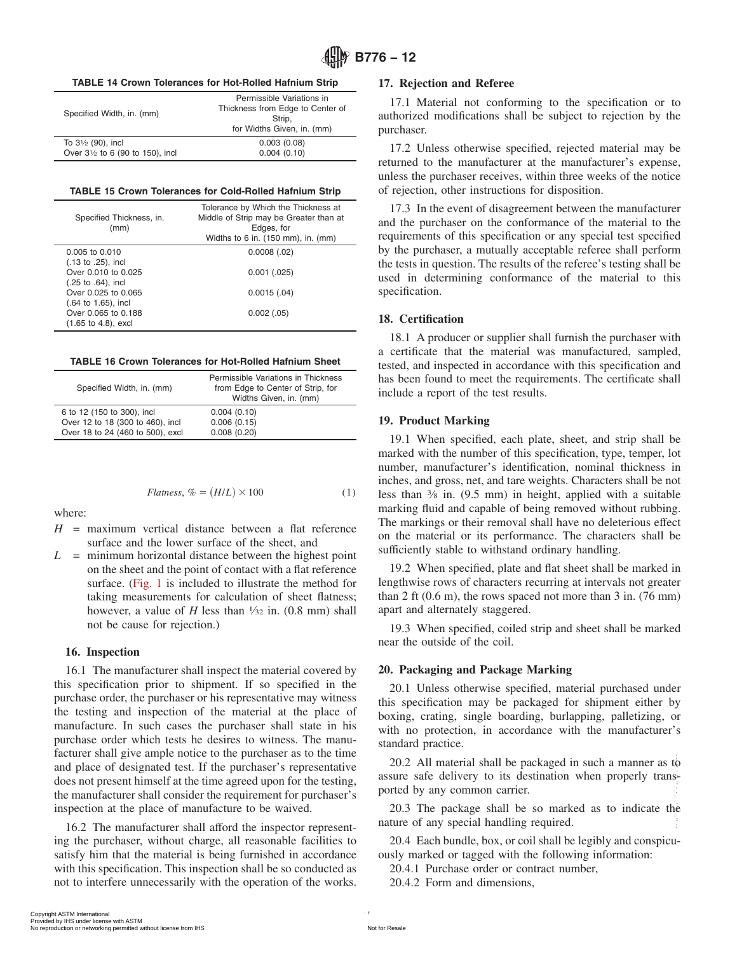#### <span id="page-6-0"></span>**TABLE 14 Crown Tolerances for Hot-Rolled Hafnium Strip**

| Permissible Variations in<br>Thickness from Edge to Center of<br>Strip.<br>for Widths Given, in. (mm) |
|-------------------------------------------------------------------------------------------------------|
| 0.003(0.08)<br>0.004(0.10)                                                                            |
|                                                                                                       |

#### **TABLE 15 Crown Tolerances for Cold-Rolled Hafnium Strip**

| Specified Thickness, in.<br>(mm) | Tolerance by Which the Thickness at<br>Middle of Strip may be Greater than at<br>Edges, for<br>Widths to 6 in. (150 mm), in. (mm) |
|----------------------------------|-----------------------------------------------------------------------------------------------------------------------------------|
| 0.005 to 0.010                   | 0.0008(.02)                                                                                                                       |
| $(.13 \text{ to } .25)$ , incl   |                                                                                                                                   |
| Over 0.010 to 0.025              | $0.001$ $(.025)$                                                                                                                  |
| $(.25 \text{ to } .64)$ , incl   |                                                                                                                                   |
| Over 0.025 to 0.065              | 0.0015(.04)                                                                                                                       |
| $(.64 \text{ to } 1.65)$ , incl  |                                                                                                                                   |
| Over 0.065 to 0.188              | 0.002(.05)                                                                                                                        |
| $(1.65 \text{ to } 4.8)$ , excl  |                                                                                                                                   |

#### **TABLE 16 Crown Tolerances for Hot-Rolled Hafnium Sheet**

| Specified Width, in. (mm)        | Permissible Variations in Thickness<br>from Edge to Center of Strip, for<br>Widths Given, in. (mm) |
|----------------------------------|----------------------------------------------------------------------------------------------------|
| 6 to 12 (150 to 300), incl       | 0.004(0.10)                                                                                        |
| Over 12 to 18 (300 to 460), incl | 0.006(0.15)                                                                                        |
| Over 18 to 24 (460 to 500), excl | 0.008(0.20)                                                                                        |

$$
Flatness, \, \% = (H/L) \times 100 \tag{1}
$$

where:

- $H =$  maximum vertical distance between a flat reference surface and the lower surface of the sheet, and
- *L* = minimum horizontal distance between the highest point on the sheet and the point of contact with a flat reference surface. [\(Fig. 1](#page-8-0) is included to illustrate the method for taking measurements for calculation of sheet flatness; however, a value of *H* less than  $\frac{1}{32}$  in. (0.8 mm) shall not be cause for rejection.)

#### **16. Inspection**

16.1 The manufacturer shall inspect the material covered by this specification prior to shipment. If so specified in the purchase order, the purchaser or his representative may witness the testing and inspection of the material at the place of manufacture. In such cases the purchaser shall state in his purchase order which tests he desires to witness. The manufacturer shall give ample notice to the purchaser as to the time and place of designated test. If the purchaser's representative does not present himself at the time agreed upon for the testing, the manufacturer shall consider the requirement for purchaser's inspection at the place of manufacture to be waived.

16.2 The manufacturer shall afford the inspector representing the purchaser, without charge, all reasonable facilities to satisfy him that the material is being furnished in accordance with this specification. This inspection shall be so conducted as not to interfere unnecessarily with the operation of the works. According the contract the material final 7 and place of designated test. If the purchaser's representative and the same safe delivery to its destination when properly transies the manufacture shall consider the requiremen

## **17. Rejection and Referee**

17.1 Material not conforming to the specification or to authorized modifications shall be subject to rejection by the purchaser.

17.2 Unless otherwise specified, rejected material may be returned to the manufacturer at the manufacturer's expense, unless the purchaser receives, within three weeks of the notice of rejection, other instructions for disposition.

17.3 In the event of disagreement between the manufacturer and the purchaser on the conformance of the material to the requirements of this specification or any special test specified by the purchaser, a mutually acceptable referee shall perform the tests in question. The results of the referee's testing shall be used in determining conformance of the material to this specification.

### **18. Certification**

18.1 A producer or supplier shall furnish the purchaser with a certificate that the material was manufactured, sampled, tested, and inspected in accordance with this specification and has been found to meet the requirements. The certificate shall include a report of the test results.

#### **19. Product Marking**

19.1 When specified, each plate, sheet, and strip shall be marked with the number of this specification, type, temper, lot number, manufacturer's identification, nominal thickness in inches, and gross, net, and tare weights. Characters shall be not less than 3⁄8 in. (9.5 mm) in height, applied with a suitable marking fluid and capable of being removed without rubbing. The markings or their removal shall have no deleterious effect on the material or its performance. The characters shall be sufficiently stable to withstand ordinary handling.

19.2 When specified, plate and flat sheet shall be marked in lengthwise rows of characters recurring at intervals not greater than 2 ft (0.6 m), the rows spaced not more than 3 in. (76 mm) apart and alternately staggered.

19.3 When specified, coiled strip and sheet shall be marked near the outside of the coil.

# **20. Packaging and Package Marking**

20.1 Unless otherwise specified, material purchased under this specification may be packaged for shipment either by boxing, crating, single boarding, burlapping, palletizing, or with no protection, in accordance with the manufacturer's standard practice.

20.2 All material shall be packaged in such a manner as to assure safe delivery to its destination when properly transported by any common carrier.

20.3 The package shall be so marked as to indicate the nature of any special handling required.

20.4 Each bundle, box, or coil shall be legibly and conspicuously marked or tagged with the following information:

20.4.1 Purchase order or contract number,

20.4.2 Form and dimensions,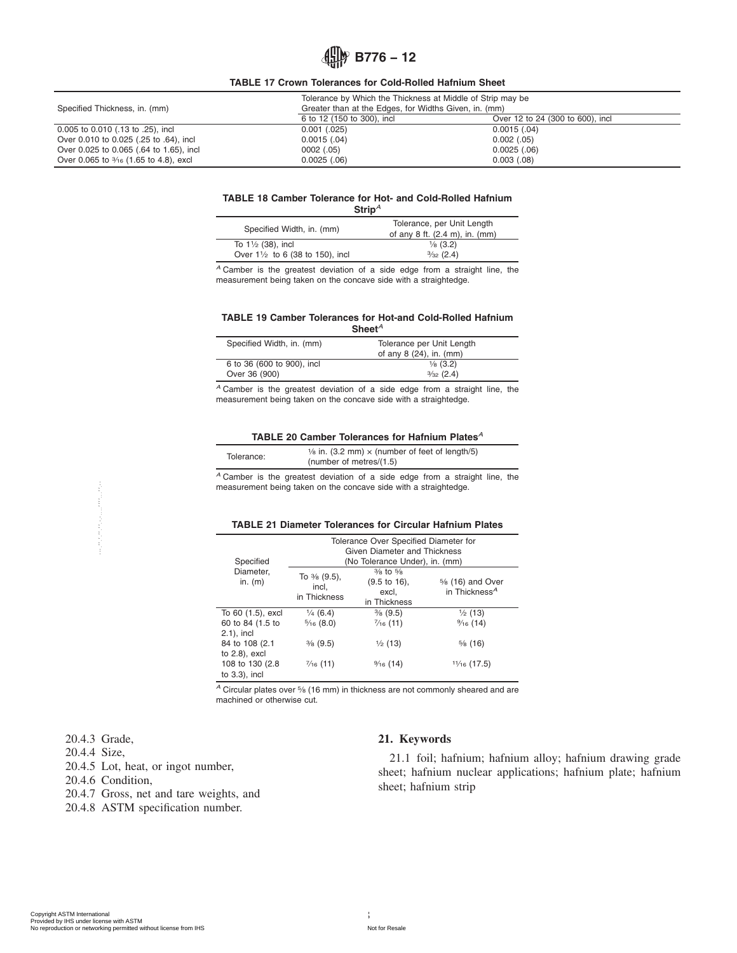# **B776 – 12**

**TABLE 17 Crown Tolerances for Cold-Rolled Hafnium Sheet**

<span id="page-7-0"></span>

|                                                  | Tolerance by Which the Thickness at Middle of Strip may be |                                  |  |
|--------------------------------------------------|------------------------------------------------------------|----------------------------------|--|
| Specified Thickness, in. (mm)                    | Greater than at the Edges, for Widths Given, in. (mm)      |                                  |  |
|                                                  | 6 to 12 (150 to 300), incl                                 | Over 12 to 24 (300 to 600), incl |  |
| 0.005 to 0.010 (.13 to .25), incl                | 0.001(.025)                                                | $0.0015$ $(.04)$                 |  |
| Over 0.010 to 0.025 (.25 to .64), incl           | 0.0015(.04)                                                | $0.002$ $(.05)$                  |  |
| Over 0.025 to 0.065 (.64 to 1.65), incl          | 0002(.05)                                                  | $0.0025$ $(.06)$                 |  |
| Over 0.065 to $\frac{3}{16}$ (1.65 to 4.8), excl | 0.0025(.06)                                                | 0.003(.08)                       |  |

#### **TABLE 18 Camber Tolerance for Hot- and Cold-Rolled Hafnium Strip***<sup>A</sup>*

| <b></b>                                    |                                                                                  |
|--------------------------------------------|----------------------------------------------------------------------------------|
| Specified Width, in. (mm)                  | Tolerance, per Unit Length<br>of any 8 ft. $(2.4 \text{ m})$ , in. $(\text{mm})$ |
| To $1\frac{1}{2}$ (38), incl               | $\frac{1}{8}$ (3.2)                                                              |
| Over $1\frac{1}{2}$ to 6 (38 to 150), incl | $\frac{3}{32}$ (2.4)                                                             |

J

*<sup>A</sup>* Camber is the greatest deviation of a side edge from a straight line, the measurement being taken on the concave side with a straightedge.

#### **TABLE 19 Camber Tolerances for Hot-and Cold-Rolled Hafnium Sheet***<sup>A</sup>*

| Specified Width, in. (mm)  | Tolerance per Unit Length<br>of any 8 (24), in. (mm) |
|----------------------------|------------------------------------------------------|
| 6 to 36 (600 to 900), incl | $\frac{1}{8}$ (3.2)                                  |
| Over 36 (900)              | $\frac{3}{32}$ (2.4)                                 |

*<sup>A</sup>* Camber is the greatest deviation of a side edge from a straight line, the measurement being taken on the concave side with a straightedge.

#### **TABLE 20 Camber Tolerances for Hafnium Plates***<sup>A</sup>*

| Tolerance: | $\frac{1}{6}$ in. (3.2 mm) $\times$ (number of feet of length/5)<br>(number of metres/ $(1.5)$ ) |
|------------|--------------------------------------------------------------------------------------------------|
|            |                                                                                                  |

*<sup>A</sup>* Camber is the greatest deviation of a side edge from a straight line, the measurement being taken on the concave side with a straightedge.

#### **TABLE 21 Diameter Tolerances for Circular Hafnium Plates**

|                                                                                                   | Specified                                              |                                             | Tolerance Over Specified Diameter for<br>Given Diameter and Thickness<br>(No Tolerance Under), in. (mm) |                                                            |  |  |
|---------------------------------------------------------------------------------------------------|--------------------------------------------------------|---------------------------------------------|---------------------------------------------------------------------------------------------------------|------------------------------------------------------------|--|--|
|                                                                                                   | Diameter,<br>in. $(m)$                                 | To % (9.5),<br>incl,<br>in Thickness        | $\frac{3}{8}$ to $\frac{5}{8}$<br>$(9.5 \text{ to } 16),$<br>excl,<br>in Thickness                      | 5/8 (16) and Over<br>in Thickness <sup>A</sup>             |  |  |
|                                                                                                   | To 60 (1.5), excl<br>60 to 84 (1.5 to<br>$2.1$ ), incl | $\frac{1}{4}$ (6.4)<br>$\frac{5}{16}$ (8.0) | $\frac{3}{8}$ (9.5)<br>$\frac{7}{16}$ (11)                                                              | $\frac{1}{2}$ (13)<br>$\frac{9}{16}$ (14)                  |  |  |
|                                                                                                   | 84 to 108 (2.1)<br>to $2.8$ ), excl                    | $\frac{3}{8}$ (9.5)                         | $\frac{1}{2}$ (13)                                                                                      | $\frac{5}{6}$ (16)                                         |  |  |
|                                                                                                   | 108 to 130 (2.8)<br>to $3.3$ ), incl                   | $\frac{7}{16}$ (11)                         | $\frac{9}{16}$ (14)                                                                                     | $1\frac{1}{16}$ (17.5)                                     |  |  |
|                                                                                                   |                                                        |                                             |                                                                                                         |                                                            |  |  |
|                                                                                                   |                                                        |                                             |                                                                                                         |                                                            |  |  |
| 20.4.3 Grade,<br>20.4.4 Size,<br>20.4.5 Lot, heat, or ingot number,                               |                                                        |                                             | 21. Keywords                                                                                            | 21.1 foil; hafnium; hafniu<br>sheet; hafnium nuclear appli |  |  |
| 20.4.6 Condition,<br>20.4.7 Gross, net and tare weights, and<br>20.4.8 ASTM specification number. |                                                        |                                             |                                                                                                         | sheet; hafnium strip                                       |  |  |
|                                                                                                   |                                                        |                                             |                                                                                                         |                                                            |  |  |
|                                                                                                   |                                                        |                                             |                                                                                                         |                                                            |  |  |
|                                                                                                   |                                                        |                                             |                                                                                                         |                                                            |  |  |

- 20.4.7 Gross, net and tare weights, and
- 20.4.8 ASTM specification number.

# **21. Keywords**

21.1 foil; hafnium; hafnium alloy; hafnium drawing grade sheet; hafnium nuclear applications; hafnium plate; hafnium sheet; hafnium strip